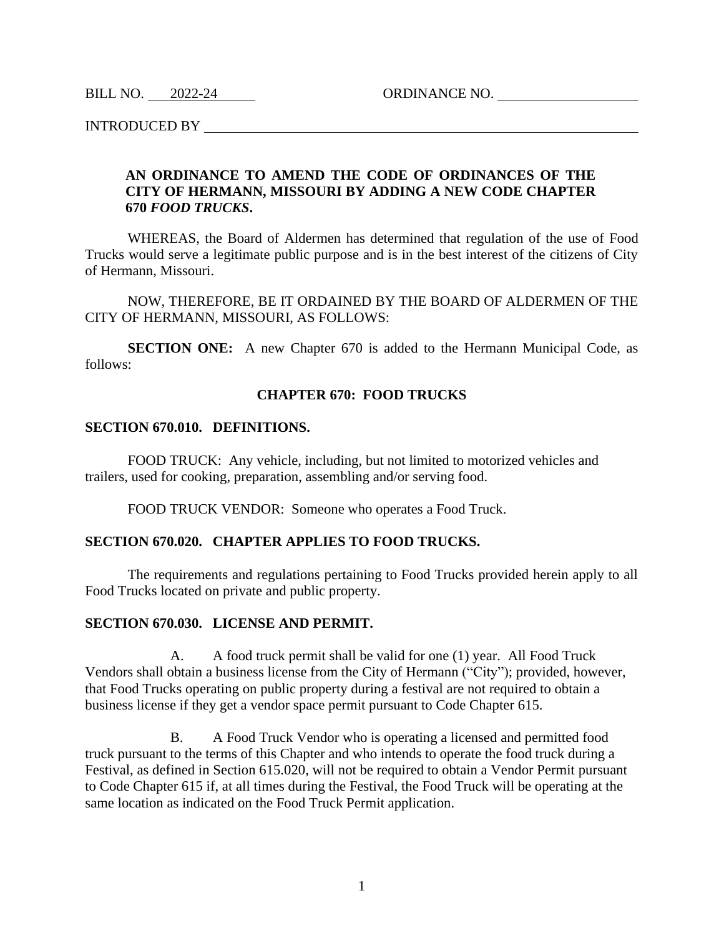BILL NO. 2022-24 ORDINANCE NO.

INTRODUCED BY

## **AN ORDINANCE TO AMEND THE CODE OF ORDINANCES OF THE CITY OF HERMANN, MISSOURI BY ADDING A NEW CODE CHAPTER 670** *FOOD TRUCKS***.**

WHEREAS, the Board of Aldermen has determined that regulation of the use of Food Trucks would serve a legitimate public purpose and is in the best interest of the citizens of City of Hermann, Missouri.

NOW, THEREFORE, BE IT ORDAINED BY THE BOARD OF ALDERMEN OF THE CITY OF HERMANN, MISSOURI, AS FOLLOWS:

**SECTION ONE:** A new Chapter 670 is added to the Hermann Municipal Code, as follows:

### **CHAPTER 670: FOOD TRUCKS**

#### **SECTION 670.010. DEFINITIONS.**

FOOD TRUCK: Any vehicle, including, but not limited to motorized vehicles and trailers, used for cooking, preparation, assembling and/or serving food.

FOOD TRUCK VENDOR: Someone who operates a Food Truck.

### **SECTION 670.020. CHAPTER APPLIES TO FOOD TRUCKS.**

The requirements and regulations pertaining to Food Trucks provided herein apply to all Food Trucks located on private and public property.

#### **SECTION 670.030. LICENSE AND PERMIT.**

A. A food truck permit shall be valid for one (1) year. All Food Truck Vendors shall obtain a business license from the City of Hermann ("City"); provided, however, that Food Trucks operating on public property during a festival are not required to obtain a business license if they get a vendor space permit pursuant to Code Chapter 615.

B. A Food Truck Vendor who is operating a licensed and permitted food truck pursuant to the terms of this Chapter and who intends to operate the food truck during a Festival, as defined in Section 615.020, will not be required to obtain a Vendor Permit pursuant to Code Chapter 615 if, at all times during the Festival, the Food Truck will be operating at the same location as indicated on the Food Truck Permit application.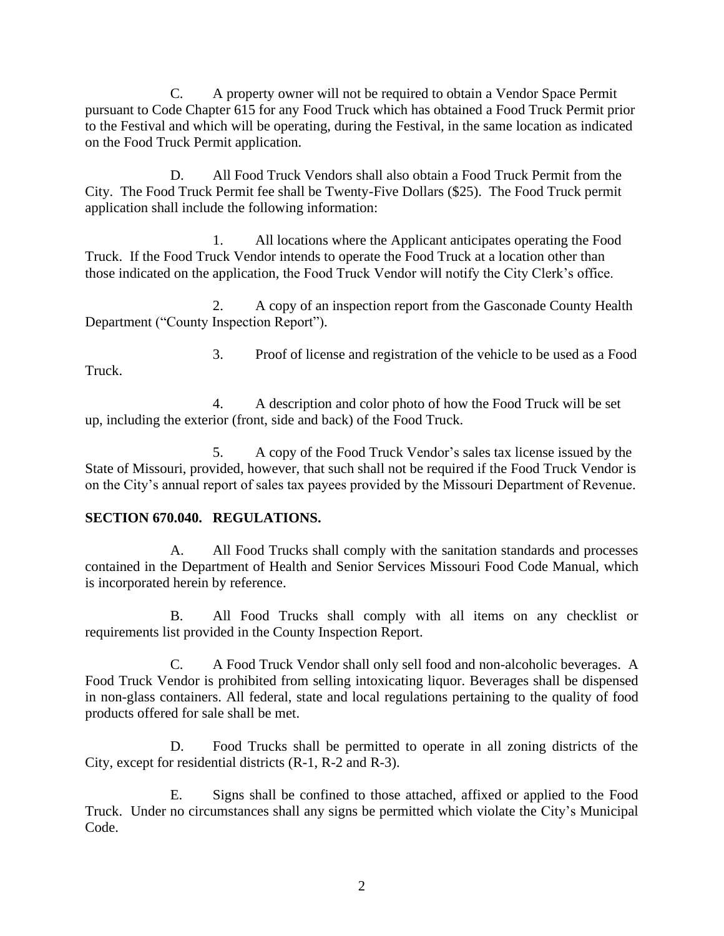C. A property owner will not be required to obtain a Vendor Space Permit pursuant to Code Chapter 615 for any Food Truck which has obtained a Food Truck Permit prior to the Festival and which will be operating, during the Festival, in the same location as indicated on the Food Truck Permit application.

D. All Food Truck Vendors shall also obtain a Food Truck Permit from the City. The Food Truck Permit fee shall be Twenty-Five Dollars (\$25). The Food Truck permit application shall include the following information:

1. All locations where the Applicant anticipates operating the Food Truck. If the Food Truck Vendor intends to operate the Food Truck at a location other than those indicated on the application, the Food Truck Vendor will notify the City Clerk's office.

2. A copy of an inspection report from the Gasconade County Health Department ("County Inspection Report").

Truck.

3. Proof of license and registration of the vehicle to be used as a Food

4. A description and color photo of how the Food Truck will be set up, including the exterior (front, side and back) of the Food Truck.

5. A copy of the Food Truck Vendor's sales tax license issued by the State of Missouri, provided, however, that such shall not be required if the Food Truck Vendor is on the City's annual report of sales tax payees provided by the Missouri Department of Revenue.

# **SECTION 670.040. REGULATIONS.**

A. All Food Trucks shall comply with the sanitation standards and processes contained in the Department of Health and Senior Services Missouri Food Code Manual, which is incorporated herein by reference.

B. All Food Trucks shall comply with all items on any checklist or requirements list provided in the County Inspection Report.

C. A Food Truck Vendor shall only sell food and non-alcoholic beverages. A Food Truck Vendor is prohibited from selling intoxicating liquor. Beverages shall be dispensed in non-glass containers. All federal, state and local regulations pertaining to the quality of food products offered for sale shall be met.

D. Food Trucks shall be permitted to operate in all zoning districts of the City, except for residential districts (R-1, R-2 and R-3).

E. Signs shall be confined to those attached, affixed or applied to the Food Truck. Under no circumstances shall any signs be permitted which violate the City's Municipal Code.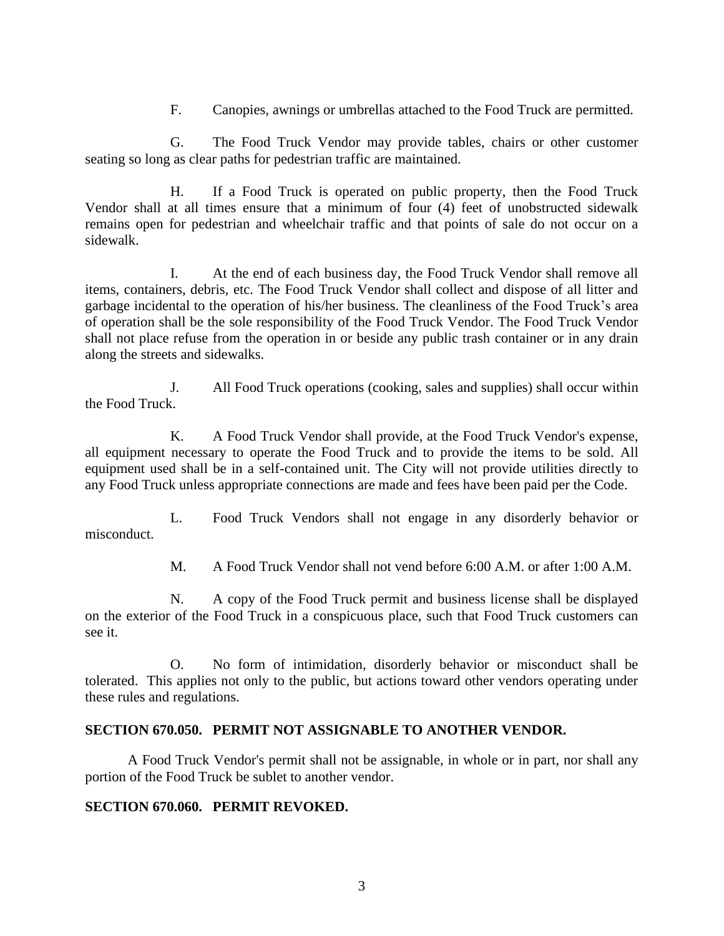F. Canopies, awnings or umbrellas attached to the Food Truck are permitted.

G. The Food Truck Vendor may provide tables, chairs or other customer seating so long as clear paths for pedestrian traffic are maintained.

H. If a Food Truck is operated on public property, then the Food Truck Vendor shall at all times ensure that a minimum of four (4) feet of unobstructed sidewalk remains open for pedestrian and wheelchair traffic and that points of sale do not occur on a sidewalk.

I. At the end of each business day, the Food Truck Vendor shall remove all items, containers, debris, etc. The Food Truck Vendor shall collect and dispose of all litter and garbage incidental to the operation of his/her business. The cleanliness of the Food Truck's area of operation shall be the sole responsibility of the Food Truck Vendor. The Food Truck Vendor shall not place refuse from the operation in or beside any public trash container or in any drain along the streets and sidewalks.

J. All Food Truck operations (cooking, sales and supplies) shall occur within the Food Truck.

K. A Food Truck Vendor shall provide, at the Food Truck Vendor's expense, all equipment necessary to operate the Food Truck and to provide the items to be sold. All equipment used shall be in a self-contained unit. The City will not provide utilities directly to any Food Truck unless appropriate connections are made and fees have been paid per the Code.

L. Food Truck Vendors shall not engage in any disorderly behavior or misconduct.

M. A Food Truck Vendor shall not vend before 6:00 A.M. or after 1:00 A.M.

N. A copy of the Food Truck permit and business license shall be displayed on the exterior of the Food Truck in a conspicuous place, such that Food Truck customers can see it.

O. No form of intimidation, disorderly behavior or misconduct shall be tolerated. This applies not only to the public, but actions toward other vendors operating under these rules and regulations.

## **SECTION 670.050. PERMIT NOT ASSIGNABLE TO ANOTHER VENDOR.**

A Food Truck Vendor's permit shall not be assignable, in whole or in part, nor shall any portion of the Food Truck be sublet to another vendor.

# **SECTION 670.060. PERMIT REVOKED.**